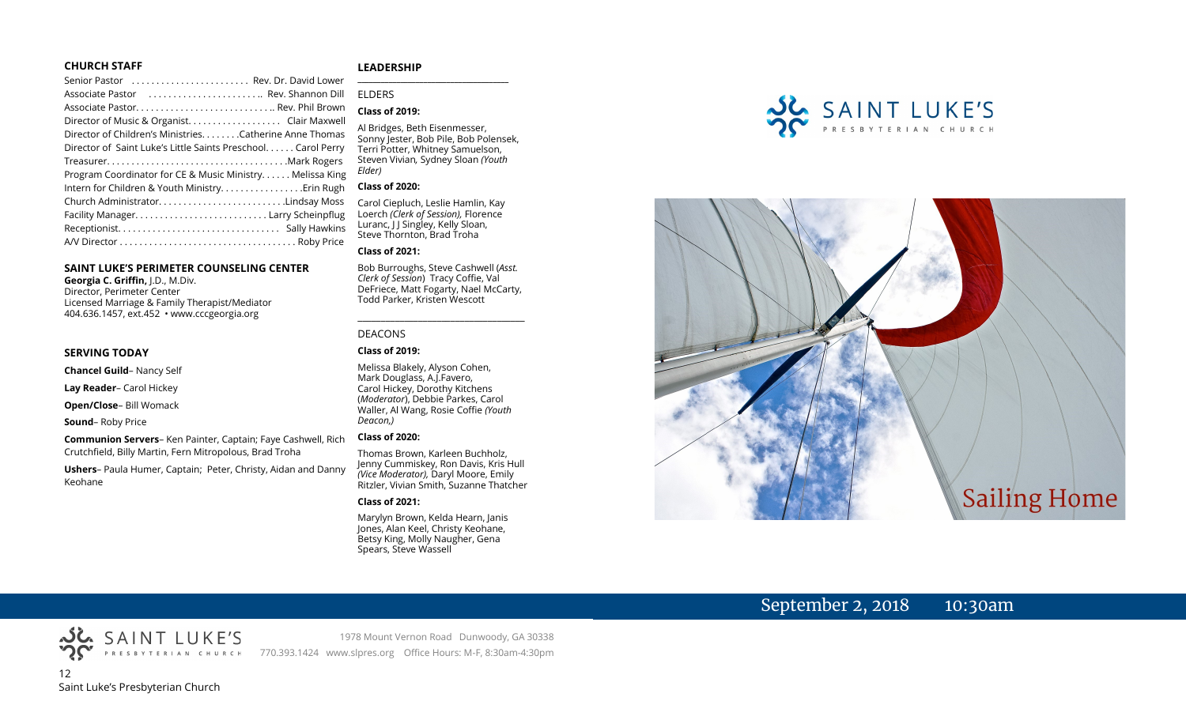#### **CHURCH STAFF**

#### Senior Pastor . . . . . . . . . . . . . . . . . . . . . . . . Rev. Dr. David Lower Associate Pastor . . . . . . . . . . . . . . . . . . . . . . .. Rev. Shannon Dill Associate Pastor. . . . . . . . . . . . . . . . . . . . . . . . . . . .. Rev. Phil Brown Director of Music & Organist. . . . . . . . . . . . . . . . . . . Clair Maxwell Director of Children's Ministries. . . . . . . .Catherine Anne Thomas Director of Saint Luke's Little Saints Preschool. . . . . . Carol Perry Treasurer. . . . . . . . . . . . . . . . . . . . . . . . . . . . . . . . . . . . .Mark Rogers Program Coordinator for CE & Music Ministry. . . . . . Melissa King Intern for Children & Youth Ministry. . . . . . . . . . . . . . . . .Erin Rugh Church Administrator. . . . . . . . . . . . . . . . . . . . . . . . . .Lindsay Moss Facility Manager. . . . . . . . . . . . . . . . . . . . . . . . . . . Larry Scheinpflug Receptionist. . . . . . . . . . . . . . . . . . . . . . . . . . . . . . . . . Sally Hawkins A/V Director . . . . . . . . . . . . . . . . . . . . . . . . . . . . . . . . . . . . Roby Price

#### **SAINT LUKE'S PERIMETER COUNSELING CENTER**

**Georgia C. Griffin,** J.D., M.Div. Director, Perimeter Center Licensed Marriage & Family Therapist/Mediator 404.636.1457, ext.452 • www.cccgeorgia.org

#### **SERVING TODAY**

**Chancel Guild**– Nancy Self

**Lay Reader**– Carol Hickey

**Open/Close**– Bill Womack

**Sound**– Roby Price

**Communion Servers**– Ken Painter, Captain; Faye Cashwell, Rich Crutchfield, Billy Martin, Fern Mitropolous, Brad Troha

**Ushers**– Paula Humer, Captain; Peter, Christy, Aidan and Danny Keohane

#### **LEADERSHIP**

ELDERS

#### **Class of 2019:**

Al Bridges, Beth Eisenmesser, Sonny Jester, Bob Pile, Bob Polensek, Terri Potter, Whitney Samuelson, Steven Vivian*,* Sydney Sloan *(Youth Elder)*

**\_\_\_\_\_\_\_\_\_\_\_\_\_\_\_\_\_\_\_\_\_\_\_\_\_\_\_\_\_\_\_\_\_\_\_\_\_\_\_**

#### **Class of 2020:**

Carol Ciepluch, Leslie Hamlin, Kay Loerch *(Clerk of Session),* Florence Luranc, I J Singley, Kelly Sloan, Steve Thornton, Brad Troha

#### **Class of 2021:**

Bob Burroughs, Steve Cashwell (*Asst. Clerk of Session*) Tracy Coffie, Val DeFriece, Matt Fogarty, Nael McCarty, Todd Parker, Kristen Wescott

\_\_\_\_\_\_\_\_\_\_\_\_\_\_\_\_\_\_\_\_\_\_\_\_\_\_\_\_\_\_\_\_\_\_\_\_

#### DEACONS

#### **Class of 2019:**

Melissa Blakely, Alyson Cohen, Mark Douglass, A.J.Favero, Carol Hickey, Dorothy Kitchens (*Moderator*), Debbie Parkes, Carol Waller, Al Wang, Rosie Coffie *(Youth Deacon,)* 

#### **Class of 2020:**

Thomas Brown, Karleen Buchholz, Jenny Cummiskey, Ron Davis, Kris Hull *(Vice Moderator),* Daryl Moore, Emily Ritzler, Vivian Smith, Suzanne Thatcher

#### **Class of 2021:**

Marylyn Brown, Kelda Hearn, Janis Jones, Alan Keel, Christy Keohane, Betsy King, Molly Naugher, Gena Spears, Steve Wassell





# September 2, 2018 10:30am

1978 Mount Vernon Road Dunwoody, GA 30338 770.393.1424 www.slpres.org Office Hours: M-F, 8:30am-4:30pm

12 Saint Luke's Presbyterian Church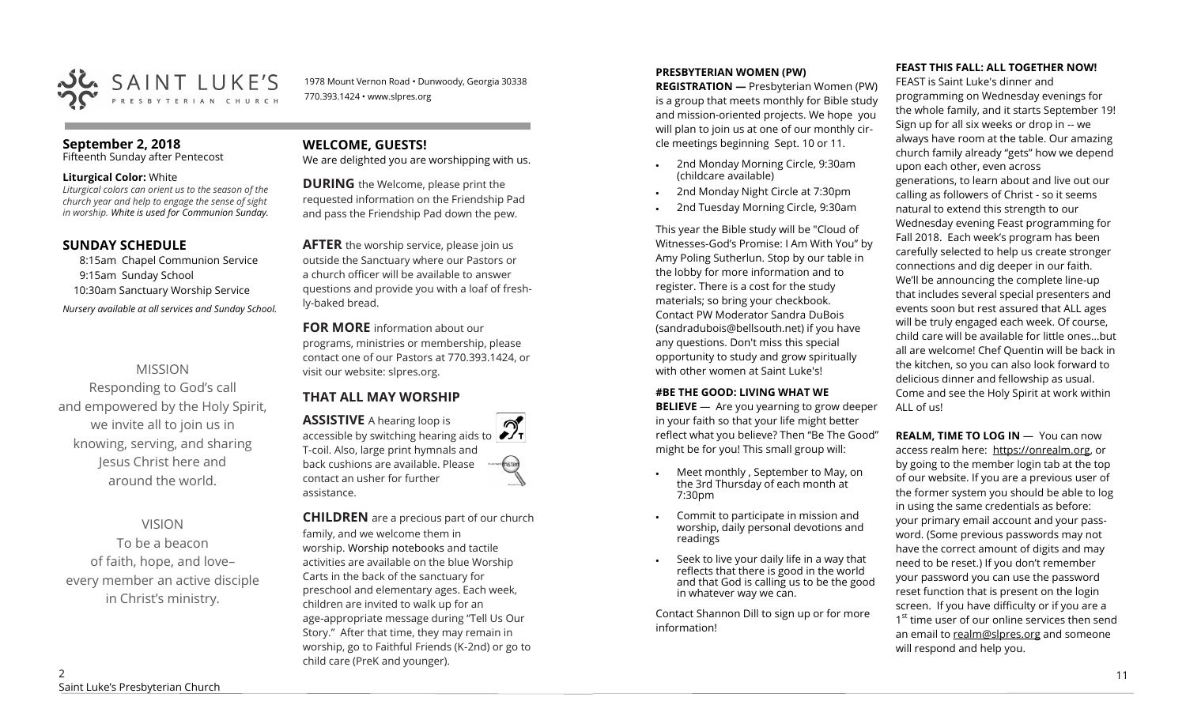

1978 Mount Vernon Road • Dunwoody, Georgia 30338 770.393.1424 • www.slpres.org

#### **September 2, 2018**

Fifteenth Sunday after Pentecost

#### **Liturgical Color:** White

*Liturgical colors can orient us to the season of the church year and help to engage the sense of sight in worship. White is used for Communion Sunday.*

#### **SUNDAY SCHEDULE**

8:15am Chapel Communion Service 9:15am Sunday School 10:30am Sanctuary Worship Service *Nursery available at all services and Sunday School.* 

## MISSION

Responding to God's call and empowered by the Holy Spirit, we invite all to join us in knowing, serving, and sharing Jesus Christ here and around the world.

## VISION

To be a beacon of faith, hope, and love– every member an active disciple in Christ's ministry.

## **WELCOME, GUESTS!**

We are delighted you are worshipping with us.

**DURING** the Welcome, please print the requested information on the Friendship Pad and pass the Friendship Pad down the pew.

**AFTER** the worship service, please join us outside the Sanctuary where our Pastors or a church officer will be available to answer questions and provide you with a loaf of freshly-baked bread.

**FOR MORE** information about our programs, ministries or membership, please contact one of our Pastors at 770.393.1424, or visit our website: slpres.org.

## **THAT ALL MAY WORSHIP**

**ASSISTIVE** A hearing loop is  $\mathcal{D}_{\mathbf{r}}$ accessible by switching hearing aids to T-coil. Also, large print hymnals and back cushions are available. Please thistex contact an usher for further assistance.

**CHILDREN** are a precious part of our church family, and we welcome them in worship. Worship notebooks and tactile activities are available on the blue Worship Carts in the back of the sanctuary for preschool and elementary ages. Each week, children are invited to walk up for an age-appropriate message during "Tell Us Our Story." After that time, they may remain in worship, go to Faithful Friends (K-2nd) or go to child care (PreK and younger).

#### **PRESBYTERIAN WOMEN (PW)**

**REGISTRATION —** Presbyterian Women (PW) is a group that meets monthly for Bible study and mission-oriented projects. We hope you will plan to join us at one of our monthly circle meetings beginning Sept. 10 or 11.

- 2nd Monday Morning Circle, 9:30am (childcare available)
- 2nd Monday Night Circle at 7:30pm
- 2nd Tuesday Morning Circle, 9:30am

This year the Bible study will be "Cloud of Witnesses-God's Promise: I Am With You" by Amy Poling Sutherlun. Stop by our table in the lobby for more information and to register. There is a cost for the study materials; so bring your checkbook. Contact PW Moderator Sandra DuBois (sandradubois@bellsouth.net) if you have any questions. Don't miss this special opportunity to study and grow spiritually with other women at Saint Luke's!

#### **#BE THE GOOD: LIVING WHAT WE**

**BELIEVE** —Are you yearning to grow deeper in your faith so that your life might better reflect what you believe? Then "Be The Good" might be for you! This small group will:

- Meet monthly , September to May, on the 3rd Thursday of each month at 7:30pm
- Commit to participate in mission and worship, daily personal devotions and readings
- Seek to live your daily life in a way that reflects that there is good in the world and that God is calling us to be the good in whatever way we can.

Contact Shannon Dill to sign up or for more information!

#### **FEAST THIS FALL: ALL TOGETHER NOW!**

FEAST is Saint Luke's dinner and programming on Wednesday evenings for the whole family, and it starts September 19! Sign up for all six weeks or drop in -- we always have room at the table. Our amazing church family already "gets" how we depend upon each other, even across generations, to learn about and live out our calling as followers of Christ - so it seems natural to extend this strength to our Wednesday evening Feast programming for Fall 2018. Each week's program has been carefully selected to help us create stronger connections and dig deeper in our faith. We'll be announcing the complete line-up that includes several special presenters and events soon but rest assured that ALL ages will be truly engaged each week. Of course, child care will be available for little ones…but all are welcome! Chef Quentin will be back in the kitchen, so you can also look forward to delicious dinner and fellowship as usual. Come and see the Holy Spirit at work within ALL of us!

**REALM, TIME TO LOG IN - You can now** access realm here: [https://onrealm.org,](https://onrealm.org) or by going to the member login tab at the top of our website. If you are a previous user of the former system you should be able to log in using the same credentials as before: your primary email account and your password. (Some previous passwords may not have the correct amount of digits and may need to be reset.) If you don't remember your password you can use the password reset function that is present on the login screen. If you have difficulty or if you are a 1<sup>st</sup> time user of our online services then send an email to [realm@slpres.org](mailto:realm@slpres.org) and someone will respond and help you.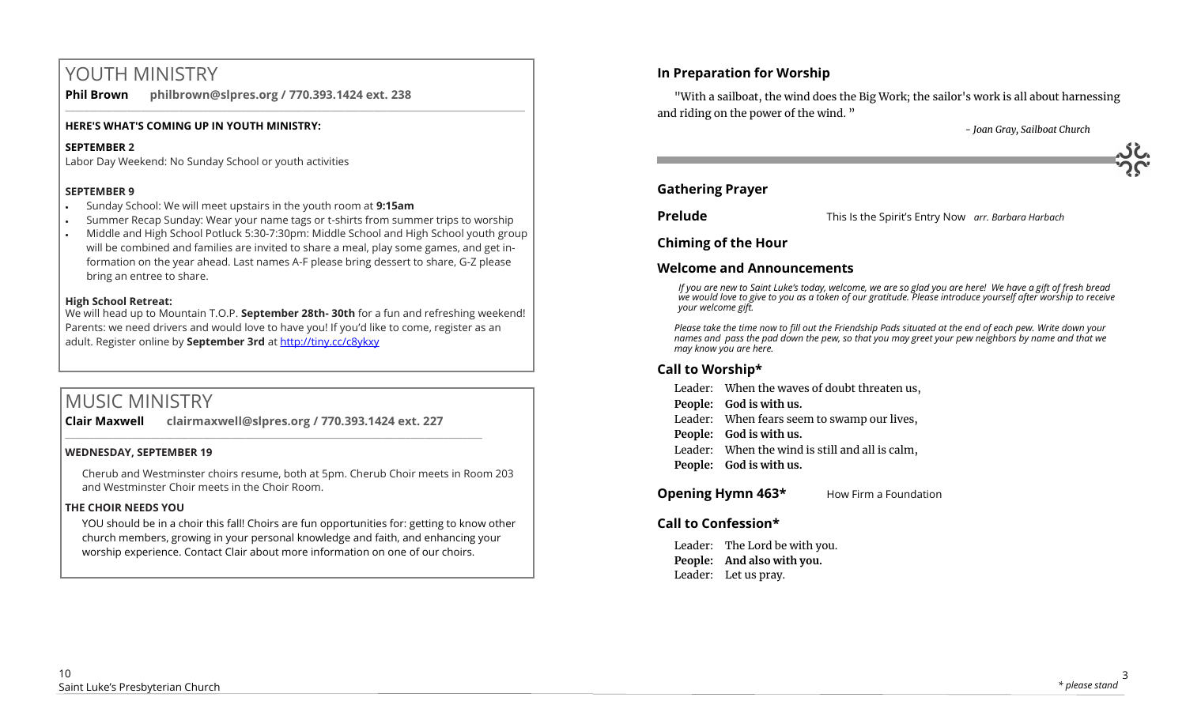# YOUTH MINISTRY

**Phil Brown philbrown@slpres.org / 770.393.1424 ext. 238** 

#### **HERE'S WHAT'S COMING UP IN YOUTH MINISTRY:**

## **SEPTEMBER 2**

Labor Day Weekend: No Sunday School or youth activities

## **SEPTEMBER 9**

- Sunday School: We will meet upstairs in the youth room at **9:15am**
- Summer Recap Sunday: Wear your name tags or t-shirts from summer trips to worship

 $\_$  ,  $\_$  ,  $\_$  ,  $\_$  ,  $\_$  ,  $\_$  ,  $\_$  ,  $\_$  ,  $\_$  ,  $\_$  ,  $\_$  ,  $\_$  ,  $\_$  ,  $\_$  ,  $\_$  ,  $\_$  ,  $\_$  ,  $\_$  ,  $\_$  ,  $\_$  ,  $\_$  ,  $\_$  ,  $\_$  ,  $\_$  ,  $\_$  ,  $\_$  ,  $\_$  ,  $\_$  ,  $\_$  ,  $\_$  ,  $\_$  ,  $\_$  ,  $\_$  ,  $\_$  ,  $\_$  ,  $\_$  ,  $\_$  ,

• Middle and High School Potluck 5:30-7:30pm: Middle School and High School youth group will be combined and families are invited to share a meal, play some games, and get information on the year ahead. Last names A-F please bring dessert to share, G-Z please bring an entree to share.

## **High School Retreat:**

We will head up to Mountain T.O.P. **September 28th- 30th** for a fun and refreshing weekend! Parents: we need drivers and would love to have you! If you'd like to come, register as an adult. Register online by **September 3rd** at <http://tiny.cc/c8ykxy>

# MUSIC MINISTRY

**Clair Maxwell clairmaxwell@slpres.org / 770.393.1424 ext. 227**   $\_$  , and the set of the set of the set of the set of the set of the set of the set of the set of the set of the set of the set of the set of the set of the set of the set of the set of the set of the set of the set of th

#### **WEDNESDAY, SEPTEMBER 19**

Cherub and Westminster choirs resume, both at 5pm. Cherub Choir meets in Room 203 and Westminster Choir meets in the Choir Room.

## **THE CHOIR NEEDS YOU**

YOU should be in a choir this fall! Choirs are fun opportunities for: getting to know other church members, growing in your personal knowledge and faith, and enhancing your worship experience. Contact Clair about more information on one of our choirs.

## **In Preparation for Worship**

"With a sailboat, the wind does the Big Work; the sailor's work is all about harnessing and riding on the power of the wind. "

 *- Joan Gray, Sailboat Church*

## **Gathering Prayer**

**Prelude** This Is the Spirit's Entry Now *arr. Barbara Harbach* 

**Chiming of the Hour**

## **Welcome and Announcements**

*If you are new to Saint Luke's today, welcome, we are so glad you are here! We have a gift of fresh bread we would love to give to you as a token of our gratitude. Please introduce yourself after worship to receive your welcome gift.*

*Please take the time now to fill out the Friendship Pads situated at the end of each pew. Write down your names and pass the pad down the pew, so that you may greet your pew neighbors by name and that we may know you are here.*

## **Call to Worship\***

- Leader: When the waves of doubt threaten us,
- **People: God is with us.**
- Leader: When fears seem to swamp our lives,
- **People: God is with us.**
- Leader: When the wind is still and all is calm,
- **People: God is with us.**

**Opening Hymn 463\*** How Firm a Foundation

## **Call to Confession\***

Leader: The Lord be with you. **People: And also with you.** Leader: Let us pray.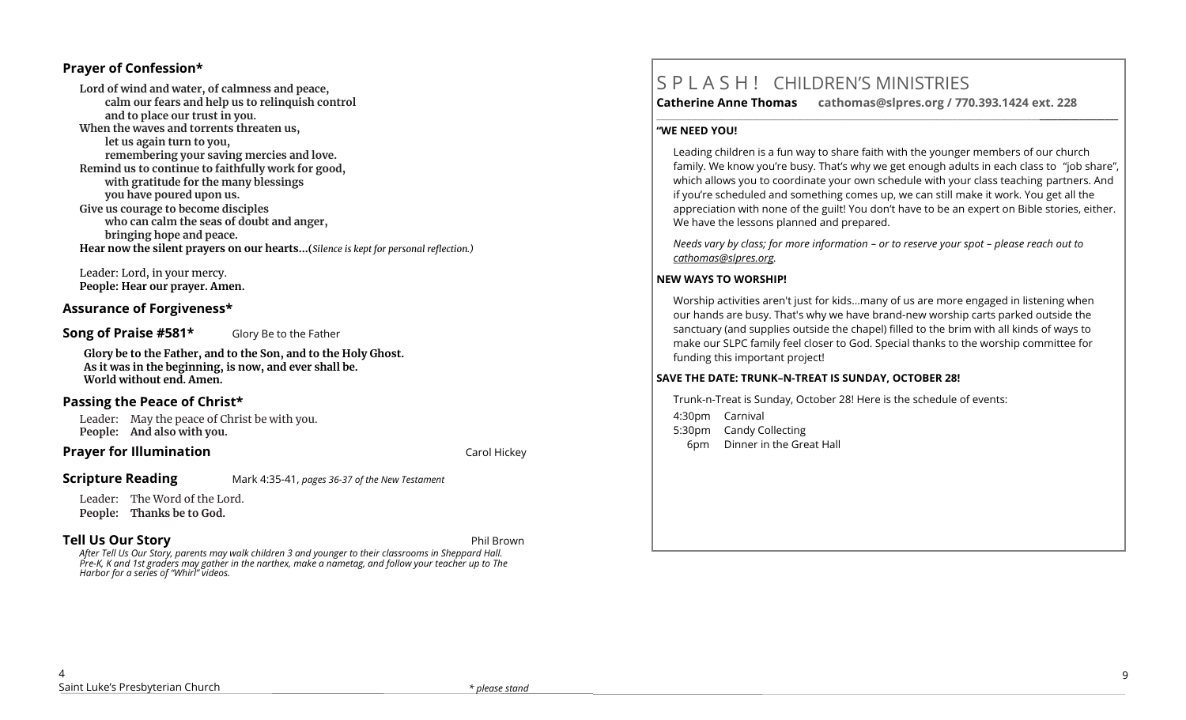## **Prayer of Confession\***

**Lord of wind and water, of calmness and peace, calm our fears and help us to relinquish control and to place our trust in you. When the waves and torrents threaten us, let us again turn to you, remembering your saving mercies and love. Remind us to continue to faithfully work for good, with gratitude for the many blessings you have poured upon us. Give us courage to become disciples who can calm the seas of doubt and anger, bringing hope and peace. Hear now the silent prayers on our hearts...(***Silence is kept for personal reflection.)*

Leader: Lord, in your mercy. **People: Hear our prayer. Amen.**

#### **Assurance of Forgiveness\***

**Song of Praise #581\*** Glory Be to the Father

**Glory be to the Father, and to the Son, and to the Holy Ghost. As it was in the beginning, is now, and ever shall be. World without end. Amen.**

## **Passing the Peace of Christ\***

Leader: May the peace of Christ be with you. **People: And also with you.** 

#### **Prayer for Illumination Carol Hickey Carol Hickey Carol Hickey**

## **Scripture Reading** Mark 4:35-41, *pages 36-37 of the New Testament*

Leader: The Word of the Lord. **People: Thanks be to God.** 

## **Tell Us Our Story** Phil Brown

*After Tell Us Our Story, parents may walk children 3 and younger to their classrooms in Sheppard Hall. Pre-K, K and 1st graders may gather in the narthex, make a nametag, and follow your teacher up to The Harbor for a series of "Whirl" videos.*

# S P L A S H ! CHILDREN'S MINISTRIES

**Catherine Anne Thomas cathomas@slpres.org / 770.393.1424 ext. 228** 

**\_\_\_\_\_\_\_\_\_\_\_\_\_\_\_\_\_\_\_\_\_\_\_\_\_\_\_\_\_\_\_\_\_\_\_\_\_\_\_\_\_\_\_\_\_\_\_\_\_\_\_\_\_\_\_\_\_\_\_\_\_\_\_\_\_\_\_\_\_\_\_\_\_\_\_\_\_\_\_\_\_\_\_\_\_\_\_\_\_\_\_\_\_\_\_\_\_\_\_\_\_\_\_\_\_\_** 

#### **"WE NEED YOU!**

Leading children is a fun way to share faith with the younger members of our church family. We know you're busy. That's why we get enough adults in each class to "job share", which allows you to coordinate your own schedule with your class teaching partners. And if you're scheduled and something comes up, we can still make it work. You get all the appreciation with none of the guilt! You don't have to be an expert on Bible stories, either. We have the lessons planned and prepared.

*Needs vary by class; for more information – or to reserve your spot – please reach out to [cathomas@slpres.org.](mailto:cathomas@slpres.org)*

#### **NEW WAYS TO WORSHIP!**

Worship activities aren't just for kids...many of us are more engaged in listening when our hands are busy. That's why we have brand-new worship carts parked outside the sanctuary (and supplies outside the chapel) filled to the brim with all kinds of ways to make our SLPC family feel closer to God. Special thanks to the worship committee for funding this important project!

#### **SAVE THE DATE: TRUNK–N-TREAT IS SUNDAY, OCTOBER 28!**

Trunk-n-Treat is Sunday, October 28! Here is the schedule of events: 4:30pm Carnival 5:30pm Candy Collecting 6pm Dinner in the Great Hall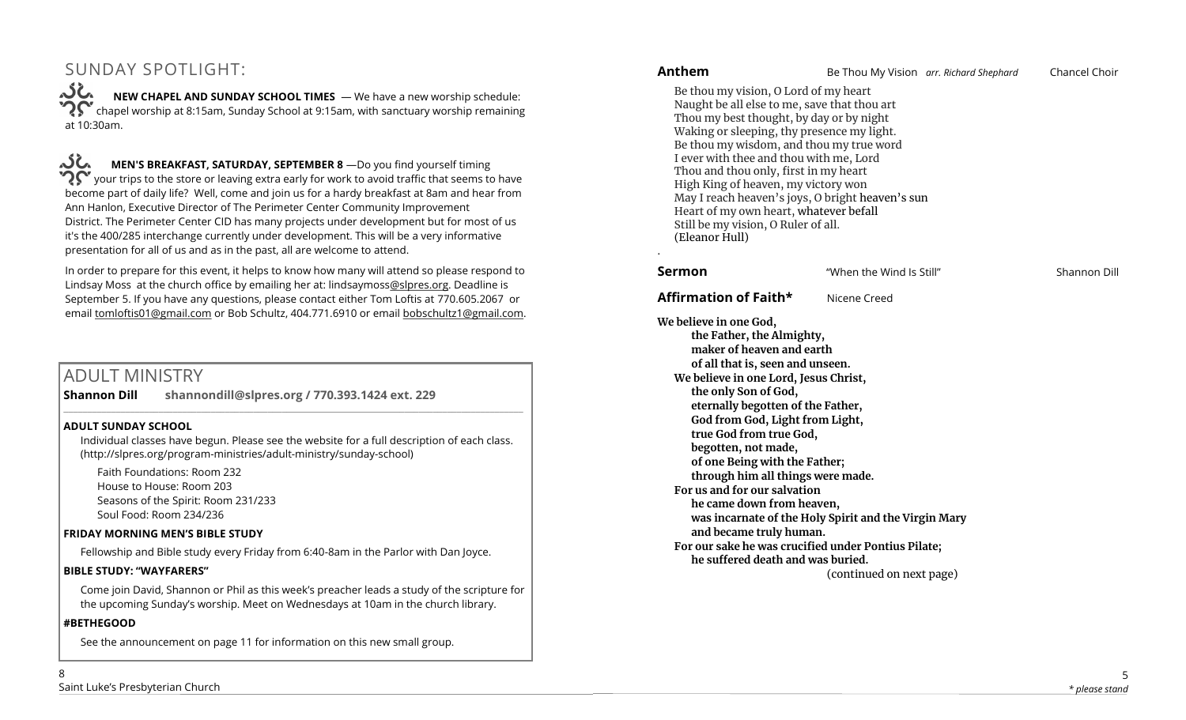# SUNDAY SPOTLIGHT:

**NEW CHAPEL AND SUNDAY SCHOOL TIMES** — We have a new worship schedule: chapel worship at 8:15am, Sunday School at 9:15am, with sanctuary worship remaining at 10:30am.

نماکہ **MEN'S BREAKFAST, SATURDAY, SEPTEMBER 8** —Do you find yourself timing your trips to the store or leaving extra early for work to avoid traffic that seems to have become part of daily life? Well, come and join us for a hardy breakfast at 8am and hear from Ann Hanlon, Executive Director of The Perimeter Center Community Improvement District. The Perimeter Center CID has many projects under development but for most of us it's the 400/285 interchange currently under development. This will be a very informative presentation for all of us and as in the past, all are welcome to attend.

In order to prepare for this event, it helps to know how many will attend so please respond to Lindsay Moss at the church office by emailing her at: lindsaymoss[@slpres.org.](mailto:pammelton@slpres.org) Deadline is September 5. If you have any questions, please contact either Tom Loftis at 770.605.2067 or email [tomloftis01@gmail.com](mailto:tomloftis01@gmail.com) or Bob Schultz, 404.771.6910 or email [bobschultz1@gmail.com.](mailto:bobschultz1@gmail.com)

# ADULT MINISTRY

**Shannon Dill shannondill@slpres.org / 770.393.1424 ext. 229** 

#### **ADULT SUNDAY SCHOOL**

Individual classes have begun. Please see the website for a full description of each class. (http://slpres.org/program-ministries/adult-ministry/sunday-school)

 $\_$  ,  $\_$  ,  $\_$  ,  $\_$  ,  $\_$  ,  $\_$  ,  $\_$  ,  $\_$  ,  $\_$  ,  $\_$  ,  $\_$  ,  $\_$  ,  $\_$  ,  $\_$  ,  $\_$  ,  $\_$  ,  $\_$  ,  $\_$  ,  $\_$ 

Faith Foundations: Room 232 House to House: Room 203 Seasons of the Spirit: Room 231/233 Soul Food: Room 234/236

#### **FRIDAY MORNING MEN'S BIBLE STUDY**

Fellowship and Bible study every Friday from 6:40-8am in the Parlor with Dan Joyce.

#### **BIBLE STUDY: "WAYFARERS"**

Come join David, Shannon or Phil as this week's preacher leads a study of the scripture for the upcoming Sunday's worship. Meet on Wednesdays at 10am in the church library.

#### **#BETHEGOOD**

See the announcement on page 11 for information on this new small group.

| <b>Anthem</b>                                                                                                                                                                                                                                                                                                                                                                                                                                                                                                                                                                                                                     |                          | Be Thou My Vision arr. Richard Shephard | Chancel Choir |
|-----------------------------------------------------------------------------------------------------------------------------------------------------------------------------------------------------------------------------------------------------------------------------------------------------------------------------------------------------------------------------------------------------------------------------------------------------------------------------------------------------------------------------------------------------------------------------------------------------------------------------------|--------------------------|-----------------------------------------|---------------|
| Be thou my vision, O Lord of my heart<br>Naught be all else to me, save that thou art<br>Thou my best thought, by day or by night<br>Waking or sleeping, thy presence my light.<br>Be thou my wisdom, and thou my true word<br>I ever with thee and thou with me, Lord<br>Thou and thou only, first in my heart<br>High King of heaven, my victory won<br>May I reach heaven's joys, O bright heaven's sun<br>Heart of my own heart, whatever befall<br>Still be my vision, O Ruler of all.<br>(Eleanor Hull)                                                                                                                     |                          |                                         |               |
| Sermon                                                                                                                                                                                                                                                                                                                                                                                                                                                                                                                                                                                                                            | "When the Wind Is Still" |                                         | Shannon Dill  |
| Affirmation of Faith*                                                                                                                                                                                                                                                                                                                                                                                                                                                                                                                                                                                                             | Nicene Creed             |                                         |               |
| We believe in one God,<br>the Father, the Almighty,<br>maker of heaven and earth<br>of all that is, seen and unseen.<br>We believe in one Lord, Jesus Christ,<br>the only Son of God,<br>eternally begotten of the Father,<br>God from God, Light from Light,<br>true God from true God,<br>begotten, not made,<br>of one Being with the Father;<br>through him all things were made.<br>For us and for our salvation<br>he came down from heaven,<br>was incarnate of the Holy Spirit and the Virgin Mary<br>and became truly human.<br>For our sake he was crucified under Pontius Pilate;<br>he suffered death and was buried. | (continued on next page) |                                         |               |